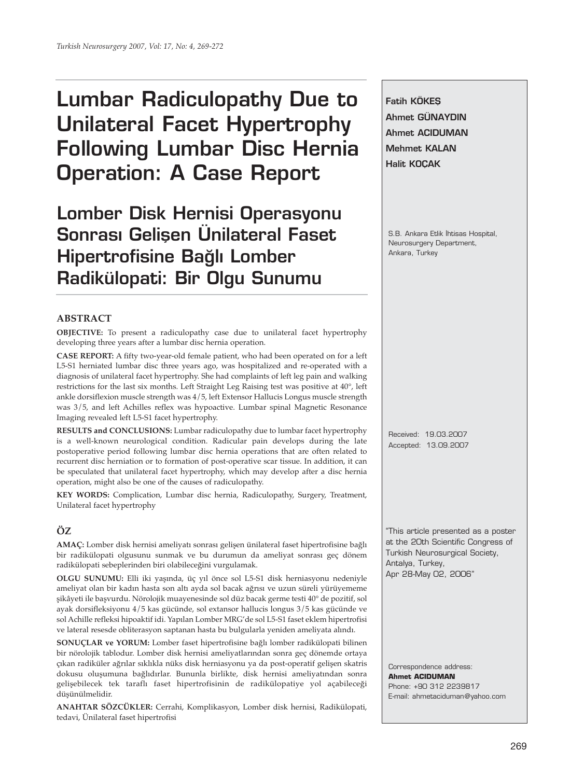# **Lumbar Radiculopathy Due to Unilateral Facet Hypertrophy Following Lumbar Disc Hernia Operation: A Case Report**

**Lomber Disk Hernisi Operasyonu Sonrası Gelisen Ünilateral Faset Hipertrofisine Bağlı Lomber Radikülopati: Bir Olgu Sunumu**

# **ABSTRACT**

**OBJECTIVE:** To present a radiculopathy case due to unilateral facet hypertrophy developing three years after a lumbar disc hernia operation.

**CASE REPORT:** A fifty two-year-old female patient, who had been operated on for a left L5-S1 herniated lumbar disc three years ago, was hospitalized and re-operated with a diagnosis of unilateral facet hypertrophy. She had complaints of left leg pain and walking restrictions for the last six months. Left Straight Leg Raising test was positive at 40°, left ankle dorsiflexion muscle strength was 4/5, left Extensor Hallucis Longus muscle strength was 3/5, and left Achilles reflex was hypoactive. Lumbar spinal Magnetic Resonance Imaging revealed left L5-S1 facet hypertrophy.

**RESULTS and CONCLUSIONS:** Lumbar radiculopathy due to lumbar facet hypertrophy is a well-known neurological condition. Radicular pain develops during the late postoperative period following lumbar disc hernia operations that are often related to recurrent disc herniation or to formation of post-operative scar tissue. In addition, it can be speculated that unilateral facet hypertrophy, which may develop after a disc hernia operation, might also be one of the causes of radiculopathy.

**KEY WORDS:** Complication, Lumbar disc hernia, Radiculopathy, Surgery, Treatment, Unilateral facet hypertrophy

# **ÖZ**

**AMAÇ:** Lomber disk hernisi ameliyatı sonrası gelişen ünilateral faset hipertrofisine bağlı bir radikülopati olgusunu sunmak ve bu durumun da ameliyat sonrası geç dönem radikülopati sebeplerinden biri olabileceğini vurgulamak.

**OLGU SUNUMU:** Elli iki yaşında, üç yıl önce sol L5-S1 disk herniasyonu nedeniyle ameliyat olan bir kadın hasta son altı ayda sol bacak ağrısı ve uzun süreli yürüyememe şikâyeti ile başvurdu. Nörolojik muayenesinde sol düz bacak germe testi 40° de pozitif, sol ayak dorsifleksiyonu 4/5 kas gücünde, sol extansor hallucis longus 3/5 kas gücünde ve sol Achille refleksi hipoaktif idi. Yapılan Lomber MRG'de sol L5-S1 faset eklem hipertrofisi ve lateral resesde obliterasyon saptanan hasta bu bulgularla yeniden ameliyata alındı.

**SONUÇLAR ve YORUM:** Lomber faset hipertrofisine bağlı lomber radikülopati bilinen bir nörolojik tablodur. Lomber disk hernisi ameliyatlarından sonra geç dönemde ortaya çıkan radiküler ağrılar sıklıkla nüks disk herniasyonu ya da post-operatif gelişen skatris dokusu oluşumuna bağlıdırlar. Bununla birlikte, disk hernisi ameliyatından sonra gelişebilecek tek taraflı faset hipertrofisinin de radikülopatiye yol açabileceği düşünülmelidir.

**ANAHTAR SÖZCÜKLER:** Cerrahi, Komplikasyon, Lomber disk hernisi, Radikülopati, tedavi, Ünilateral faset hipertrofisi

**Fatih KÖKES Ahmet GÜNAYDIN Ahmet ACIDUMAN Mehmet KALAN Halit KOÇAK**

S.B. Ankara Etlik Ihtisas Hospital, Neurosurgery Department, Ankara, Turkey

Received: 19.03.2007 Accepted: 13.09.2007

"This article presented as a poster at the 20th Scientific Congress of Turkish Neurosurgical Society, Antalya, Turkey, Apr 28-May 02, 2006"

Correspondence address: **Ahmet ACIDUMAN** Phone: +90 312 2239817 E-mail: ahmetaciduman@yahoo.com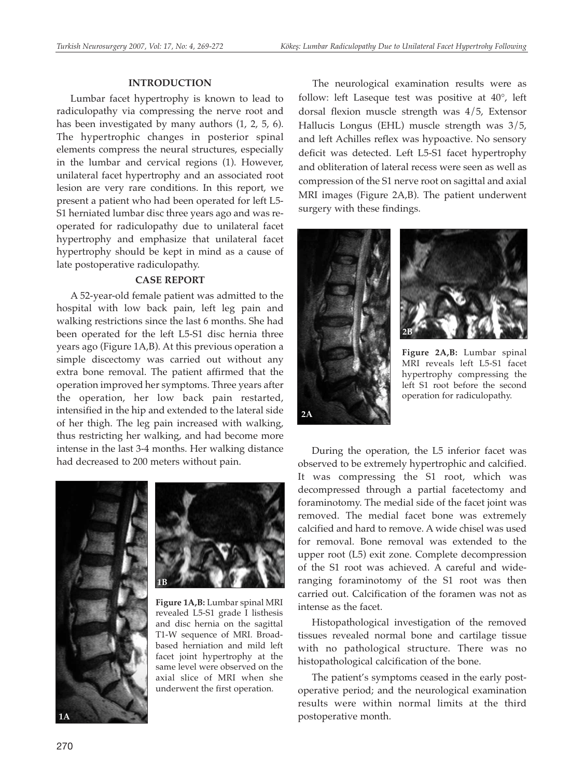#### **INTRODUCTION**

Lumbar facet hypertrophy is known to lead to radiculopathy via compressing the nerve root and has been investigated by many authors (1, 2, 5, 6). The hypertrophic changes in posterior spinal elements compress the neural structures, especially in the lumbar and cervical regions (1). However, unilateral facet hypertrophy and an associated root lesion are very rare conditions. In this report, we present a patient who had been operated for left L5- S1 herniated lumbar disc three years ago and was reoperated for radiculopathy due to unilateral facet hypertrophy and emphasize that unilateral facet hypertrophy should be kept in mind as a cause of late postoperative radiculopathy.

#### **CASE REPORT**

A 52-year-old female patient was admitted to the hospital with low back pain, left leg pain and walking restrictions since the last 6 months. She had been operated for the left L5-S1 disc hernia three years ago (Figure 1A,B). At this previous operation a simple discectomy was carried out without any extra bone removal. The patient affirmed that the operation improved her symptoms. Three years after the operation, her low back pain restarted, intensified in the hip and extended to the lateral side of her thigh. The leg pain increased with walking, thus restricting her walking, and had become more intense in the last 3-4 months. Her walking distance had decreased to 200 meters without pain.





**Figure 1A,B:** Lumbar spinal MRI revealed L5-S1 grade I listhesis and disc hernia on the sagittal T1-W sequence of MRI. Broadbased herniation and mild left facet joint hypertrophy at the same level were observed on the axial slice of MRI when she underwent the first operation.

The neurological examination results were as follow: left Laseque test was positive at 40°, left dorsal flexion muscle strength was 4/5, Extensor Hallucis Longus (EHL) muscle strength was 3/5, and left Achilles reflex was hypoactive. No sensory deficit was detected. Left L5-S1 facet hypertrophy and obliteration of lateral recess were seen as well as compression of the S1 nerve root on sagittal and axial MRI images (Figure 2A,B). The patient underwent surgery with these findings.





**Figure 2A,B:** Lumbar spinal MRI reveals left L5-S1 facet hypertrophy compressing the left S1 root before the second operation for radiculopathy.

During the operation, the L5 inferior facet was observed to be extremely hypertrophic and calcified. It was compressing the S1 root, which was decompressed through a partial facetectomy and foraminotomy. The medial side of the facet joint was removed. The medial facet bone was extremely calcified and hard to remove. A wide chisel was used for removal. Bone removal was extended to the upper root (L5) exit zone. Complete decompression of the S1 root was achieved. A careful and wideranging foraminotomy of the S1 root was then carried out. Calcification of the foramen was not as intense as the facet.

Histopathological investigation of the removed tissues revealed normal bone and cartilage tissue with no pathological structure. There was no histopathological calcification of the bone.

The patient's symptoms ceased in the early postoperative period; and the neurological examination results were within normal limits at the third postoperative month.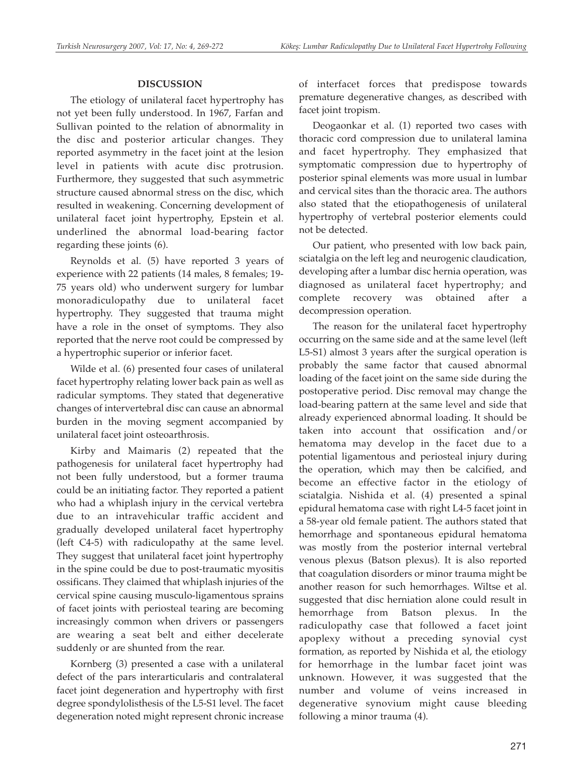## **DISCUSSION**

The etiology of unilateral facet hypertrophy has not yet been fully understood. In 1967, Farfan and Sullivan pointed to the relation of abnormality in the disc and posterior articular changes. They reported asymmetry in the facet joint at the lesion level in patients with acute disc protrusion. Furthermore, they suggested that such asymmetric structure caused abnormal stress on the disc, which resulted in weakening. Concerning development of unilateral facet joint hypertrophy, Epstein et al. underlined the abnormal load-bearing factor regarding these joints (6).

Reynolds et al. (5) have reported 3 years of experience with 22 patients (14 males, 8 females; 19- 75 years old) who underwent surgery for lumbar monoradiculopathy due to unilateral facet hypertrophy. They suggested that trauma might have a role in the onset of symptoms. They also reported that the nerve root could be compressed by a hypertrophic superior or inferior facet.

Wilde et al. (6) presented four cases of unilateral facet hypertrophy relating lower back pain as well as radicular symptoms. They stated that degenerative changes of intervertebral disc can cause an abnormal burden in the moving segment accompanied by unilateral facet joint osteoarthrosis.

Kirby and Maimaris (2) repeated that the pathogenesis for unilateral facet hypertrophy had not been fully understood, but a former trauma could be an initiating factor. They reported a patient who had a whiplash injury in the cervical vertebra due to an intravehicular traffic accident and gradually developed unilateral facet hypertrophy (left C4-5) with radiculopathy at the same level. They suggest that unilateral facet joint hypertrophy in the spine could be due to post-traumatic myositis ossificans. They claimed that whiplash injuries of the cervical spine causing musculo-ligamentous sprains of facet joints with periosteal tearing are becoming increasingly common when drivers or passengers are wearing a seat belt and either decelerate suddenly or are shunted from the rear.

Kornberg (3) presented a case with a unilateral defect of the pars interarticularis and contralateral facet joint degeneration and hypertrophy with first degree spondylolisthesis of the L5-S1 level. The facet degeneration noted might represent chronic increase

of interfacet forces that predispose towards premature degenerative changes, as described with facet joint tropism.

Deogaonkar et al. (1) reported two cases with thoracic cord compression due to unilateral lamina and facet hypertrophy. They emphasized that symptomatic compression due to hypertrophy of posterior spinal elements was more usual in lumbar and cervical sites than the thoracic area. The authors also stated that the etiopathogenesis of unilateral hypertrophy of vertebral posterior elements could not be detected.

Our patient, who presented with low back pain, sciatalgia on the left leg and neurogenic claudication, developing after a lumbar disc hernia operation, was diagnosed as unilateral facet hypertrophy; and complete recovery was obtained after a decompression operation.

The reason for the unilateral facet hypertrophy occurring on the same side and at the same level (left L5-S1) almost 3 years after the surgical operation is probably the same factor that caused abnormal loading of the facet joint on the same side during the postoperative period. Disc removal may change the load-bearing pattern at the same level and side that already experienced abnormal loading. It should be taken into account that ossification and/or hematoma may develop in the facet due to a potential ligamentous and periosteal injury during the operation, which may then be calcified, and become an effective factor in the etiology of sciatalgia. Nishida et al. (4) presented a spinal epidural hematoma case with right L4-5 facet joint in a 58-year old female patient. The authors stated that hemorrhage and spontaneous epidural hematoma was mostly from the posterior internal vertebral venous plexus (Batson plexus). It is also reported that coagulation disorders or minor trauma might be another reason for such hemorrhages. Wiltse et al. suggested that disc herniation alone could result in hemorrhage from Batson plexus. In the radiculopathy case that followed a facet joint apoplexy without a preceding synovial cyst formation, as reported by Nishida et al, the etiology for hemorrhage in the lumbar facet joint was unknown. However, it was suggested that the number and volume of veins increased in degenerative synovium might cause bleeding following a minor trauma (4).